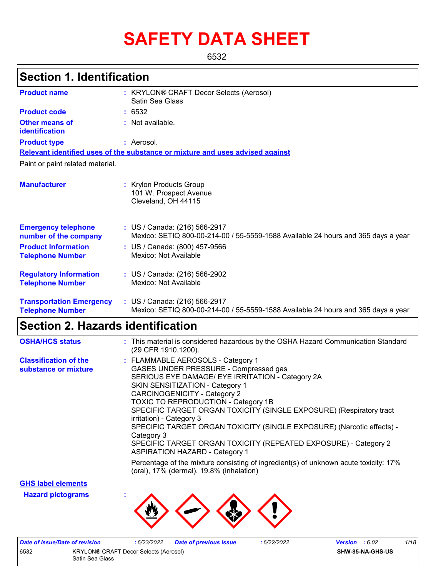# **SAFETY DATA SHEET**

6532

# **Section 1. Identification**

| <b>Product name</b>                                        | : KRYLON® CRAFT Decor Selects (Aerosol)<br>Satin Sea Glass                                                         |
|------------------------------------------------------------|--------------------------------------------------------------------------------------------------------------------|
| <b>Product code</b>                                        | : 6532                                                                                                             |
| <b>Other means of</b><br>identification                    | : Not available.                                                                                                   |
| <b>Product type</b>                                        | : Aerosol.                                                                                                         |
|                                                            | Relevant identified uses of the substance or mixture and uses advised against                                      |
| Paint or paint related material.                           |                                                                                                                    |
| <b>Manufacturer</b>                                        | : Krylon Products Group<br>101 W. Prospect Avenue<br>Cleveland, OH 44115                                           |
| <b>Emergency telephone</b><br>number of the company        | : US / Canada: (216) 566-2917<br>Mexico: SETIQ 800-00-214-00 / 55-5559-1588 Available 24 hours and 365 days a year |
| <b>Product Information</b><br><b>Telephone Number</b>      | : US / Canada: (800) 457-9566<br>Mexico: Not Available                                                             |
| <b>Regulatory Information</b><br><b>Telephone Number</b>   | : US / Canada: (216) 566-2902<br>Mexico: Not Available                                                             |
| <b>Transportation Emergency</b><br><b>Telephone Number</b> | : US / Canada: (216) 566-2917<br>Mexico: SETIQ 800-00-214-00 / 55-5559-1588 Available 24 hours and 365 days a year |

# **Section 2. Hazards identification**

| <b>OSHA/HCS status</b>                               | : This material is considered hazardous by the OSHA Hazard Communication Standard<br>(29 CFR 1910.1200).                                                                                                                                                                                                                                                                                                                                                                                                                                                     |
|------------------------------------------------------|--------------------------------------------------------------------------------------------------------------------------------------------------------------------------------------------------------------------------------------------------------------------------------------------------------------------------------------------------------------------------------------------------------------------------------------------------------------------------------------------------------------------------------------------------------------|
| <b>Classification of the</b><br>substance or mixture | : FLAMMABLE AEROSOLS - Category 1<br>GASES UNDER PRESSURE - Compressed gas<br>SERIOUS EYE DAMAGE/ EYE IRRITATION - Category 2A<br><b>SKIN SENSITIZATION - Category 1</b><br>CARCINOGENICITY - Category 2<br><b>TOXIC TO REPRODUCTION - Category 1B</b><br>SPECIFIC TARGET ORGAN TOXICITY (SINGLE EXPOSURE) (Respiratory tract<br>irritation) - Category 3<br>SPECIFIC TARGET ORGAN TOXICITY (SINGLE EXPOSURE) (Narcotic effects) -<br>Category 3<br>SPECIFIC TARGET ORGAN TOXICITY (REPEATED EXPOSURE) - Category 2<br><b>ASPIRATION HAZARD - Category 1</b> |
|                                                      | Percentage of the mixture consisting of ingredient(s) of unknown acute toxicity: 17%<br>(oral), 17% (dermal), 19.8% (inhalation)                                                                                                                                                                                                                                                                                                                                                                                                                             |

**GHS label elements**

**Hazard pictograms :**



| Date of issue/Date of revision |                                              | : 6/23/2022 | <b>Date of previous issue</b> | 6/22/2022 | <b>Version</b> : 6.02 |                  | 1/18 |
|--------------------------------|----------------------------------------------|-------------|-------------------------------|-----------|-----------------------|------------------|------|
| 6532                           | <b>KRYLON® CRAFT Decor Selects (Aerosol)</b> |             |                               |           |                       | SHW-85-NA-GHS-US |      |
| Satin Sea Glass                |                                              |             |                               |           |                       |                  |      |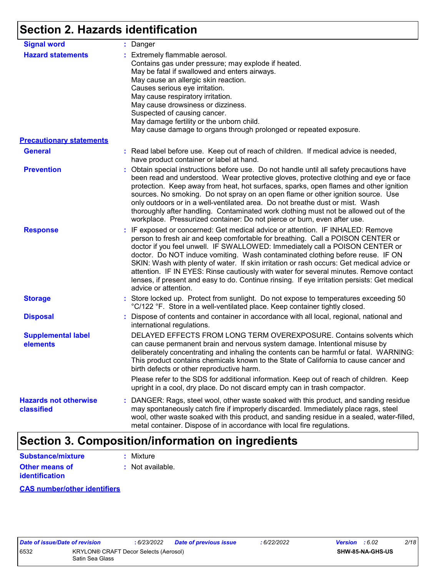# **Section 2. Hazards identification**

| <b>Signal word</b>                         | : Danger                                                                                                                                                                                                                                                                                                                                                                                                                                                                                                                                                                                                                                           |
|--------------------------------------------|----------------------------------------------------------------------------------------------------------------------------------------------------------------------------------------------------------------------------------------------------------------------------------------------------------------------------------------------------------------------------------------------------------------------------------------------------------------------------------------------------------------------------------------------------------------------------------------------------------------------------------------------------|
| <b>Hazard statements</b>                   | : Extremely flammable aerosol.<br>Contains gas under pressure; may explode if heated.<br>May be fatal if swallowed and enters airways.<br>May cause an allergic skin reaction.<br>Causes serious eye irritation.<br>May cause respiratory irritation.<br>May cause drowsiness or dizziness.<br>Suspected of causing cancer.<br>May damage fertility or the unborn child.<br>May cause damage to organs through prolonged or repeated exposure.                                                                                                                                                                                                     |
| <b>Precautionary statements</b>            |                                                                                                                                                                                                                                                                                                                                                                                                                                                                                                                                                                                                                                                    |
| <b>General</b>                             | : Read label before use. Keep out of reach of children. If medical advice is needed,<br>have product container or label at hand.                                                                                                                                                                                                                                                                                                                                                                                                                                                                                                                   |
| <b>Prevention</b>                          | : Obtain special instructions before use. Do not handle until all safety precautions have<br>been read and understood. Wear protective gloves, protective clothing and eye or face<br>protection. Keep away from heat, hot surfaces, sparks, open flames and other ignition<br>sources. No smoking. Do not spray on an open flame or other ignition source. Use<br>only outdoors or in a well-ventilated area. Do not breathe dust or mist. Wash<br>thoroughly after handling. Contaminated work clothing must not be allowed out of the<br>workplace. Pressurized container: Do not pierce or burn, even after use.                               |
| <b>Response</b>                            | : IF exposed or concerned: Get medical advice or attention. IF INHALED: Remove<br>person to fresh air and keep comfortable for breathing. Call a POISON CENTER or<br>doctor if you feel unwell. IF SWALLOWED: Immediately call a POISON CENTER or<br>doctor. Do NOT induce vomiting. Wash contaminated clothing before reuse. IF ON<br>SKIN: Wash with plenty of water. If skin irritation or rash occurs: Get medical advice or<br>attention. IF IN EYES: Rinse cautiously with water for several minutes. Remove contact<br>lenses, if present and easy to do. Continue rinsing. If eye irritation persists: Get medical<br>advice or attention. |
| <b>Storage</b>                             | : Store locked up. Protect from sunlight. Do not expose to temperatures exceeding 50<br>°C/122 °F. Store in a well-ventilated place. Keep container tightly closed.                                                                                                                                                                                                                                                                                                                                                                                                                                                                                |
| <b>Disposal</b>                            | : Dispose of contents and container in accordance with all local, regional, national and<br>international regulations.                                                                                                                                                                                                                                                                                                                                                                                                                                                                                                                             |
| <b>Supplemental label</b><br>elements      | DELAYED EFFECTS FROM LONG TERM OVEREXPOSURE. Contains solvents which<br>can cause permanent brain and nervous system damage. Intentional misuse by<br>deliberately concentrating and inhaling the contents can be harmful or fatal. WARNING:<br>This product contains chemicals known to the State of California to cause cancer and<br>birth defects or other reproductive harm.                                                                                                                                                                                                                                                                  |
|                                            | Please refer to the SDS for additional information. Keep out of reach of children. Keep<br>upright in a cool, dry place. Do not discard empty can in trash compactor.                                                                                                                                                                                                                                                                                                                                                                                                                                                                              |
| <b>Hazards not otherwise</b><br>classified | : DANGER: Rags, steel wool, other waste soaked with this product, and sanding residue<br>may spontaneously catch fire if improperly discarded. Immediately place rags, steel<br>wool, other waste soaked with this product, and sanding residue in a sealed, water-filled,<br>metal container. Dispose of in accordance with local fire regulations.                                                                                                                                                                                                                                                                                               |

# **Section 3. Composition/information on ingredients**

| <b>Substance/mixture</b>                | : Mixture        |
|-----------------------------------------|------------------|
| Other means of<br><b>identification</b> | : Not available. |

#### **CAS number/other identifiers**

|     | <i><b>late of Issue/Date o</b></i> |   |
|-----|------------------------------------|---|
| 532 |                                    | k |
|     |                                    | S |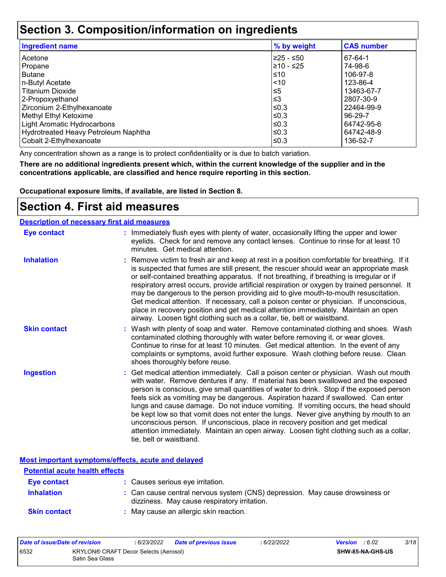### **Section 3. Composition/information on ingredients**

| <b>Ingredient name</b>               | % by weight | <b>CAS number</b> |
|--------------------------------------|-------------|-------------------|
| l Acetone                            | 225 - ≤50   | 67-64-1           |
| Propane                              | 210 - ≤25   | 74-98-6           |
| l Butane                             | ≤10         | 106-97-8          |
| n-Butyl Acetate                      | 1510        | 123-86-4          |
| l Titanium Dioxide                   | $\leq 5$    | 13463-67-7        |
| 2-Propoxyethanol                     | ≤3          | 2807-30-9         |
| Zirconium 2-Ethylhexanoate           | l≤0.3       | 22464-99-9        |
| Methyl Ethyl Ketoxime                | ≤0.3        | 96-29-7           |
| Light Aromatic Hydrocarbons          | ≤0.3        | 64742-95-6        |
| Hydrotreated Heavy Petroleum Naphtha | ≤0.3        | 64742-48-9        |
| Cobalt 2-Ethylhexanoate              | ≤0.3        | 136-52-7          |

Any concentration shown as a range is to protect confidentiality or is due to batch variation.

**There are no additional ingredients present which, within the current knowledge of the supplier and in the concentrations applicable, are classified and hence require reporting in this section.**

**Occupational exposure limits, if available, are listed in Section 8.**

### **Section 4. First aid measures**

#### **Description of necessary first aid measures**

| <b>Eye contact</b>  | : Immediately flush eyes with plenty of water, occasionally lifting the upper and lower<br>eyelids. Check for and remove any contact lenses. Continue to rinse for at least 10<br>minutes. Get medical attention.                                                                                                                                                                                                                                                                                                                                                                                                                                                                                                                                       |
|---------------------|---------------------------------------------------------------------------------------------------------------------------------------------------------------------------------------------------------------------------------------------------------------------------------------------------------------------------------------------------------------------------------------------------------------------------------------------------------------------------------------------------------------------------------------------------------------------------------------------------------------------------------------------------------------------------------------------------------------------------------------------------------|
| <b>Inhalation</b>   | : Remove victim to fresh air and keep at rest in a position comfortable for breathing. If it<br>is suspected that fumes are still present, the rescuer should wear an appropriate mask<br>or self-contained breathing apparatus. If not breathing, if breathing is irregular or if<br>respiratory arrest occurs, provide artificial respiration or oxygen by trained personnel. It<br>may be dangerous to the person providing aid to give mouth-to-mouth resuscitation.<br>Get medical attention. If necessary, call a poison center or physician. If unconscious,<br>place in recovery position and get medical attention immediately. Maintain an open<br>airway. Loosen tight clothing such as a collar, tie, belt or waistband.                    |
| <b>Skin contact</b> | : Wash with plenty of soap and water. Remove contaminated clothing and shoes. Wash<br>contaminated clothing thoroughly with water before removing it, or wear gloves.<br>Continue to rinse for at least 10 minutes. Get medical attention. In the event of any<br>complaints or symptoms, avoid further exposure. Wash clothing before reuse. Clean<br>shoes thoroughly before reuse.                                                                                                                                                                                                                                                                                                                                                                   |
| <b>Ingestion</b>    | : Get medical attention immediately. Call a poison center or physician. Wash out mouth<br>with water. Remove dentures if any. If material has been swallowed and the exposed<br>person is conscious, give small quantities of water to drink. Stop if the exposed person<br>feels sick as vomiting may be dangerous. Aspiration hazard if swallowed. Can enter<br>lungs and cause damage. Do not induce vomiting. If vomiting occurs, the head should<br>be kept low so that vomit does not enter the lungs. Never give anything by mouth to an<br>unconscious person. If unconscious, place in recovery position and get medical<br>attention immediately. Maintain an open airway. Loosen tight clothing such as a collar,<br>tie, belt or waistband. |

**Most important symptoms/effects, acute and delayed**

| <b>Potential acute health effects</b> |                                                                                                                              |
|---------------------------------------|------------------------------------------------------------------------------------------------------------------------------|
| Eye contact                           | : Causes serious eye irritation.                                                                                             |
| <b>Inhalation</b>                     | : Can cause central nervous system (CNS) depression. May cause drowsiness or<br>dizziness. May cause respiratory irritation. |
| <b>Skin contact</b>                   | : May cause an allergic skin reaction.                                                                                       |

| Date of issue/Date of revision |                                                          | : 6/23/2022 | <b>Date of previous issue</b> | : 6/22/2022 | <b>Version</b> : 6.02 |                  | 3/18 |
|--------------------------------|----------------------------------------------------------|-------------|-------------------------------|-------------|-----------------------|------------------|------|
| 6532                           | KRYLON® CRAFT Decor Selects (Aerosol)<br>Satin Sea Glass |             |                               |             |                       | SHW-85-NA-GHS-US |      |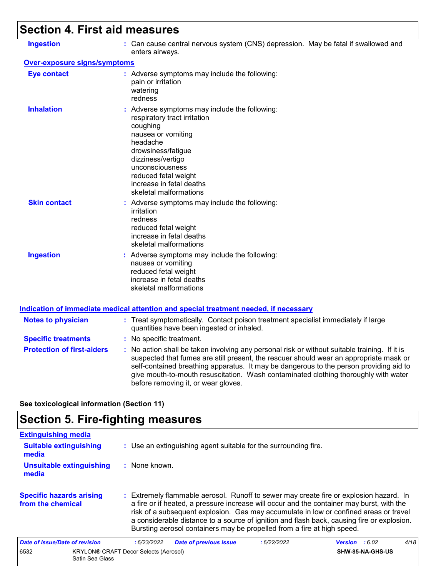# **Section 4. First aid measures**

| <b>Ingestion</b>                  | : Can cause central nervous system (CNS) depression. May be fatal if swallowed and<br>enters airways.                                                                                                                                                                                                                                                                                                           |
|-----------------------------------|-----------------------------------------------------------------------------------------------------------------------------------------------------------------------------------------------------------------------------------------------------------------------------------------------------------------------------------------------------------------------------------------------------------------|
| Over-exposure signs/symptoms      |                                                                                                                                                                                                                                                                                                                                                                                                                 |
| <b>Eye contact</b>                | : Adverse symptoms may include the following:<br>pain or irritation<br>watering<br>redness                                                                                                                                                                                                                                                                                                                      |
| <b>Inhalation</b>                 | : Adverse symptoms may include the following:<br>respiratory tract irritation<br>coughing<br>nausea or vomiting<br>headache<br>drowsiness/fatigue<br>dizziness/vertigo<br>unconsciousness<br>reduced fetal weight<br>increase in fetal deaths<br>skeletal malformations                                                                                                                                         |
| <b>Skin contact</b>               | : Adverse symptoms may include the following:<br>irritation<br>redness<br>reduced fetal weight<br>increase in fetal deaths<br>skeletal malformations                                                                                                                                                                                                                                                            |
| <b>Ingestion</b>                  | : Adverse symptoms may include the following:<br>nausea or vomiting<br>reduced fetal weight<br>increase in fetal deaths<br>skeletal malformations                                                                                                                                                                                                                                                               |
|                                   | Indication of immediate medical attention and special treatment needed, if necessary                                                                                                                                                                                                                                                                                                                            |
| <b>Notes to physician</b>         | : Treat symptomatically. Contact poison treatment specialist immediately if large<br>quantities have been ingested or inhaled.                                                                                                                                                                                                                                                                                  |
| <b>Specific treatments</b>        | : No specific treatment.                                                                                                                                                                                                                                                                                                                                                                                        |
| <b>Protection of first-aiders</b> | : No action shall be taken involving any personal risk or without suitable training. If it is<br>suspected that fumes are still present, the rescuer should wear an appropriate mask or<br>self-contained breathing apparatus. It may be dangerous to the person providing aid to<br>give mouth-to-mouth resuscitation. Wash contaminated clothing thoroughly with water<br>before removing it, or wear gloves. |
|                                   |                                                                                                                                                                                                                                                                                                                                                                                                                 |

**See toxicological information (Section 11)**

# **Section 5. Fire-fighting measures**

| <b>Extinguishing media</b>                           |                                                                                                                                                                                                                                                                                                                                                                                                                                                       |                         |      |
|------------------------------------------------------|-------------------------------------------------------------------------------------------------------------------------------------------------------------------------------------------------------------------------------------------------------------------------------------------------------------------------------------------------------------------------------------------------------------------------------------------------------|-------------------------|------|
| <b>Suitable extinguishing</b><br>media               | : Use an extinguishing agent suitable for the surrounding fire.                                                                                                                                                                                                                                                                                                                                                                                       |                         |      |
| <b>Unsuitable extinguishing</b><br>media             | $:$ None known.                                                                                                                                                                                                                                                                                                                                                                                                                                       |                         |      |
| <b>Specific hazards arising</b><br>from the chemical | : Extremely flammable aerosol. Runoff to sewer may create fire or explosion hazard. In<br>a fire or if heated, a pressure increase will occur and the container may burst, with the<br>risk of a subsequent explosion. Gas may accumulate in low or confined areas or travel<br>a considerable distance to a source of ignition and flash back, causing fire or explosion.<br>Bursting aerosol containers may be propelled from a fire at high speed. |                         |      |
| Date of issue/Date of revision                       | <b>Date of previous issue</b><br>:6/22/2022<br>:6/23/2022                                                                                                                                                                                                                                                                                                                                                                                             | <b>Version</b> : $6.02$ | 4/18 |
| 6532<br>Satin Sea Glass                              | KRYLON® CRAFT Decor Selects (Aerosol)                                                                                                                                                                                                                                                                                                                                                                                                                 | <b>SHW-85-NA-GHS-US</b> |      |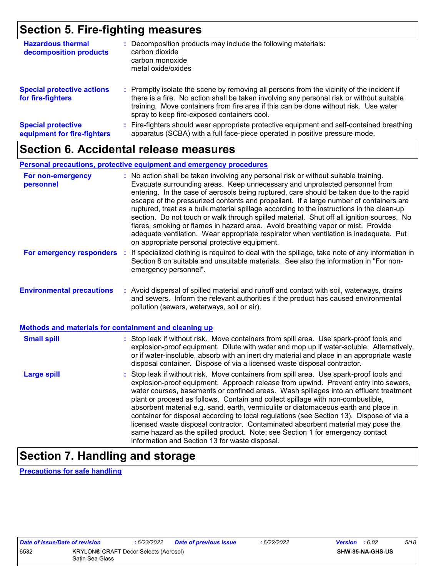# **Section 5. Fire-fighting measures**

| <b>Hazardous thermal</b><br>decomposition products       | Decomposition products may include the following materials:<br>carbon dioxide<br>carbon monoxide<br>metal oxide/oxides                                                                                                                                                                                                        |
|----------------------------------------------------------|-------------------------------------------------------------------------------------------------------------------------------------------------------------------------------------------------------------------------------------------------------------------------------------------------------------------------------|
| <b>Special protective actions</b><br>for fire-fighters   | : Promptly isolate the scene by removing all persons from the vicinity of the incident if<br>there is a fire. No action shall be taken involving any personal risk or without suitable<br>training. Move containers from fire area if this can be done without risk. Use water<br>spray to keep fire-exposed containers cool. |
| <b>Special protective</b><br>equipment for fire-fighters | Fire-fighters should wear appropriate protective equipment and self-contained breathing<br>apparatus (SCBA) with a full face-piece operated in positive pressure mode.                                                                                                                                                        |

### **Section 6. Accidental release measures**

#### **Personal precautions, protective equipment and emergency procedures**

| For non-emergency<br>personnel                        | : No action shall be taken involving any personal risk or without suitable training.<br>Evacuate surrounding areas. Keep unnecessary and unprotected personnel from<br>entering. In the case of aerosols being ruptured, care should be taken due to the rapid<br>escape of the pressurized contents and propellant. If a large number of containers are<br>ruptured, treat as a bulk material spillage according to the instructions in the clean-up<br>section. Do not touch or walk through spilled material. Shut off all ignition sources. No<br>flares, smoking or flames in hazard area. Avoid breathing vapor or mist. Provide<br>adequate ventilation. Wear appropriate respirator when ventilation is inadequate. Put<br>on appropriate personal protective equipment. |
|-------------------------------------------------------|----------------------------------------------------------------------------------------------------------------------------------------------------------------------------------------------------------------------------------------------------------------------------------------------------------------------------------------------------------------------------------------------------------------------------------------------------------------------------------------------------------------------------------------------------------------------------------------------------------------------------------------------------------------------------------------------------------------------------------------------------------------------------------|
| For emergency responders                              | : If specialized clothing is required to deal with the spillage, take note of any information in<br>Section 8 on suitable and unsuitable materials. See also the information in "For non-<br>emergency personnel".                                                                                                                                                                                                                                                                                                                                                                                                                                                                                                                                                               |
| <b>Environmental precautions</b>                      | : Avoid dispersal of spilled material and runoff and contact with soil, waterways, drains<br>and sewers. Inform the relevant authorities if the product has caused environmental<br>pollution (sewers, waterways, soil or air).                                                                                                                                                                                                                                                                                                                                                                                                                                                                                                                                                  |
| Methods and materials for containment and cleaning up |                                                                                                                                                                                                                                                                                                                                                                                                                                                                                                                                                                                                                                                                                                                                                                                  |
| <b>Small spill</b>                                    | : Stop leak if without risk. Move containers from spill area. Use spark-proof tools and<br>explosion-proof equipment. Dilute with water and mop up if water-soluble. Alternatively,<br>or if water-insoluble, absorb with an inert dry material and place in an appropriate waste<br>disposal container. Dispose of via a licensed waste disposal contractor.                                                                                                                                                                                                                                                                                                                                                                                                                    |
| <b>Large spill</b>                                    | : Stop leak if without risk. Move containers from spill area. Use spark-proof tools and<br>explosion-proof equipment. Approach release from upwind. Prevent entry into sewers,<br>water courses, basements or confined areas. Wash spillages into an effluent treatment<br>plant or proceed as follows. Contain and collect spillage with non-combustible,<br>absorbent material e.g. sand, earth, vermiculite or diatomaceous earth and place in<br>container for disposal according to local regulations (see Section 13). Dispose of via a<br>licensed waste disposal contractor. Contaminated absorbent material may pose the<br>same hazard as the spilled product. Note: see Section 1 for emergency contact<br>information and Section 13 for waste disposal.             |

# **Section 7. Handling and storage**

**Precautions for safe handling**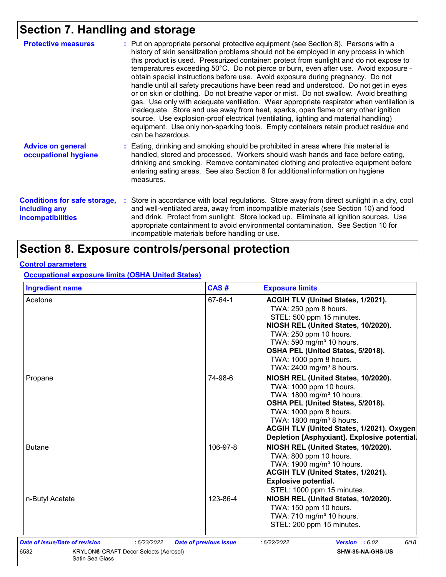# **Section 7. Handling and storage**

| <b>Protective measures</b>                                                       | : Put on appropriate personal protective equipment (see Section 8). Persons with a<br>history of skin sensitization problems should not be employed in any process in which<br>this product is used. Pressurized container: protect from sunlight and do not expose to<br>temperatures exceeding 50°C. Do not pierce or burn, even after use. Avoid exposure -<br>obtain special instructions before use. Avoid exposure during pregnancy. Do not<br>handle until all safety precautions have been read and understood. Do not get in eyes<br>or on skin or clothing. Do not breathe vapor or mist. Do not swallow. Avoid breathing<br>gas. Use only with adequate ventilation. Wear appropriate respirator when ventilation is<br>inadequate. Store and use away from heat, sparks, open flame or any other ignition<br>source. Use explosion-proof electrical (ventilating, lighting and material handling)<br>equipment. Use only non-sparking tools. Empty containers retain product residue and<br>can be hazardous. |
|----------------------------------------------------------------------------------|---------------------------------------------------------------------------------------------------------------------------------------------------------------------------------------------------------------------------------------------------------------------------------------------------------------------------------------------------------------------------------------------------------------------------------------------------------------------------------------------------------------------------------------------------------------------------------------------------------------------------------------------------------------------------------------------------------------------------------------------------------------------------------------------------------------------------------------------------------------------------------------------------------------------------------------------------------------------------------------------------------------------------|
| <b>Advice on general</b><br>occupational hygiene                                 | : Eating, drinking and smoking should be prohibited in areas where this material is<br>handled, stored and processed. Workers should wash hands and face before eating,<br>drinking and smoking. Remove contaminated clothing and protective equipment before<br>entering eating areas. See also Section 8 for additional information on hygiene<br>measures.                                                                                                                                                                                                                                                                                                                                                                                                                                                                                                                                                                                                                                                             |
| <b>Conditions for safe storage,</b><br>including any<br><b>incompatibilities</b> | : Store in accordance with local regulations. Store away from direct sunlight in a dry, cool<br>and well-ventilated area, away from incompatible materials (see Section 10) and food<br>and drink. Protect from sunlight. Store locked up. Eliminate all ignition sources. Use<br>appropriate containment to avoid environmental contamination. See Section 10 for<br>incompatible materials before handling or use.                                                                                                                                                                                                                                                                                                                                                                                                                                                                                                                                                                                                      |

# **Section 8. Exposure controls/personal protection**

#### **Control parameters**

**Occupational exposure limits (OSHA United States)**

| <b>Ingredient name</b> | CAS#     | <b>Exposure limits</b>                                                                                                                                                                                                                                                                                     |
|------------------------|----------|------------------------------------------------------------------------------------------------------------------------------------------------------------------------------------------------------------------------------------------------------------------------------------------------------------|
| Acetone                | 67-64-1  | ACGIH TLV (United States, 1/2021).<br>TWA: 250 ppm 8 hours.<br>STEL: 500 ppm 15 minutes.<br>NIOSH REL (United States, 10/2020).<br>TWA: 250 ppm 10 hours.<br>TWA: 590 mg/m <sup>3</sup> 10 hours.<br>OSHA PEL (United States, 5/2018).<br>TWA: 1000 ppm 8 hours.<br>TWA: 2400 mg/m <sup>3</sup> 8 hours.   |
| Propane                | 74-98-6  | NIOSH REL (United States, 10/2020).<br>TWA: 1000 ppm 10 hours.<br>TWA: 1800 mg/m <sup>3</sup> 10 hours.<br>OSHA PEL (United States, 5/2018).<br>TWA: 1000 ppm 8 hours.<br>TWA: 1800 mg/m <sup>3</sup> 8 hours.<br>ACGIH TLV (United States, 1/2021). Oxygen<br>Depletion [Asphyxiant]. Explosive potential |
| <b>Butane</b>          | 106-97-8 | NIOSH REL (United States, 10/2020).<br>TWA: 800 ppm 10 hours.<br>TWA: 1900 mg/m <sup>3</sup> 10 hours.<br>ACGIH TLV (United States, 1/2021).<br><b>Explosive potential.</b><br>STEL: 1000 ppm 15 minutes.                                                                                                  |
| n-Butyl Acetate        | 123-86-4 | NIOSH REL (United States, 10/2020).<br>TWA: 150 ppm 10 hours.<br>TWA: 710 mg/m <sup>3</sup> 10 hours.<br>STEL: 200 ppm 15 minutes.                                                                                                                                                                         |
|                        |          |                                                                                                                                                                                                                                                                                                            |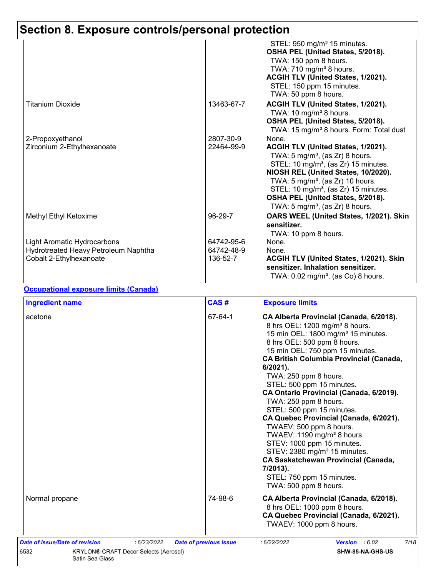# **Section 8. Exposure controls/personal protection**

|                                      |            | STEL: 950 mg/m <sup>3</sup> 15 minutes.<br>OSHA PEL (United States, 5/2018).<br>TWA: 150 ppm 8 hours.<br>TWA: 710 mg/m <sup>3</sup> 8 hours.<br>ACGIH TLV (United States, 1/2021).<br>STEL: 150 ppm 15 minutes.<br>TWA: 50 ppm 8 hours.                                                                                                                            |
|--------------------------------------|------------|--------------------------------------------------------------------------------------------------------------------------------------------------------------------------------------------------------------------------------------------------------------------------------------------------------------------------------------------------------------------|
| Titanium Dioxide                     | 13463-67-7 | ACGIH TLV (United States, 1/2021).<br>TWA: 10 mg/m <sup>3</sup> 8 hours.<br>OSHA PEL (United States, 5/2018).<br>TWA: 15 mg/m <sup>3</sup> 8 hours. Form: Total dust                                                                                                                                                                                               |
| 2-Propoxyethanol                     | 2807-30-9  | None.                                                                                                                                                                                                                                                                                                                                                              |
| Zirconium 2-Ethylhexanoate           | 22464-99-9 | ACGIH TLV (United States, 1/2021).<br>TWA: $5 \text{ mg/m}^3$ , (as Zr) 8 hours.<br>STEL: 10 mg/m <sup>3</sup> , (as Zr) 15 minutes.<br>NIOSH REL (United States, 10/2020).<br>TWA: $5 \text{ mg/m}^3$ , (as Zr) 10 hours.<br>STEL: 10 mg/m <sup>3</sup> , (as Zr) 15 minutes.<br>OSHA PEL (United States, 5/2018).<br>TWA: 5 mg/m <sup>3</sup> , (as Zr) 8 hours. |
| Methyl Ethyl Ketoxime                | 96-29-7    | OARS WEEL (United States, 1/2021). Skin<br>sensitizer.<br>TWA: 10 ppm 8 hours.                                                                                                                                                                                                                                                                                     |
| Light Aromatic Hydrocarbons          | 64742-95-6 | None.                                                                                                                                                                                                                                                                                                                                                              |
| Hydrotreated Heavy Petroleum Naphtha | 64742-48-9 | None.                                                                                                                                                                                                                                                                                                                                                              |
| Cobalt 2-Ethylhexanoate              | 136-52-7   | ACGIH TLV (United States, 1/2021). Skin<br>sensitizer. Inhalation sensitizer.<br>TWA: $0.02$ mg/m <sup>3</sup> , (as Co) 8 hours.                                                                                                                                                                                                                                  |

#### **Occupational exposure limits (Canada)**

| <b>Ingredient name</b>                                                                                                   | CAS#                          | <b>Exposure limits</b>                                                                                                                                                                                                                                                                                                                                                                                                                                                                                                                                                                                                                                                                                                                  |
|--------------------------------------------------------------------------------------------------------------------------|-------------------------------|-----------------------------------------------------------------------------------------------------------------------------------------------------------------------------------------------------------------------------------------------------------------------------------------------------------------------------------------------------------------------------------------------------------------------------------------------------------------------------------------------------------------------------------------------------------------------------------------------------------------------------------------------------------------------------------------------------------------------------------------|
| acetone                                                                                                                  | 67-64-1                       | CA Alberta Provincial (Canada, 6/2018).<br>8 hrs OEL: 1200 mg/m <sup>3</sup> 8 hours.<br>15 min OEL: 1800 mg/m <sup>3</sup> 15 minutes.<br>8 hrs OEL: 500 ppm 8 hours.<br>15 min OEL: 750 ppm 15 minutes.<br><b>CA British Columbia Provincial (Canada,</b><br>6/2021).<br>TWA: 250 ppm 8 hours.<br>STEL: 500 ppm 15 minutes.<br>CA Ontario Provincial (Canada, 6/2019).<br>TWA: 250 ppm 8 hours.<br>STEL: 500 ppm 15 minutes.<br>CA Quebec Provincial (Canada, 6/2021).<br>TWAEV: 500 ppm 8 hours.<br>TWAEV: 1190 mg/m <sup>3</sup> 8 hours.<br>STEV: 1000 ppm 15 minutes.<br>STEV: 2380 mg/m <sup>3</sup> 15 minutes.<br><b>CA Saskatchewan Provincial (Canada,</b><br>7/2013).<br>STEL: 750 ppm 15 minutes.<br>TWA: 500 ppm 8 hours. |
| Normal propane                                                                                                           | 74-98-6                       | CA Alberta Provincial (Canada, 6/2018).<br>8 hrs OEL: 1000 ppm 8 hours.<br>CA Quebec Provincial (Canada, 6/2021).<br>TWAEV: 1000 ppm 8 hours.                                                                                                                                                                                                                                                                                                                                                                                                                                                                                                                                                                                           |
| Date of issue/Date of revision<br>: 6/23/2022<br>6532<br><b>KRYLON® CRAFT Decor Selects (Aerosol)</b><br>Satin Sea Glass | <b>Date of previous issue</b> | 7/18<br>Version : 6.02<br>:6/22/2022<br>SHW-85-NA-GHS-US                                                                                                                                                                                                                                                                                                                                                                                                                                                                                                                                                                                                                                                                                |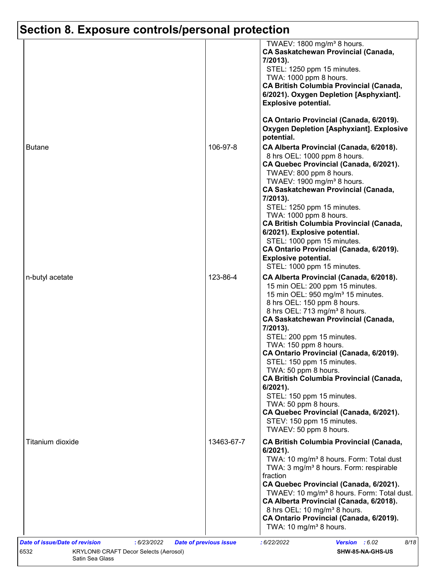# **Section 8. Exposure controls/personal protection**

|                  |            | TWAEV: 1800 mg/m <sup>3</sup> 8 hours.<br><b>CA Saskatchewan Provincial (Canada,</b><br>7/2013).<br>STEL: 1250 ppm 15 minutes.<br>TWA: 1000 ppm 8 hours.<br><b>CA British Columbia Provincial (Canada,</b><br>6/2021). Oxygen Depletion [Asphyxiant].<br><b>Explosive potential.</b>                                                                                                                                                                                                                                                                                                                                 |
|------------------|------------|----------------------------------------------------------------------------------------------------------------------------------------------------------------------------------------------------------------------------------------------------------------------------------------------------------------------------------------------------------------------------------------------------------------------------------------------------------------------------------------------------------------------------------------------------------------------------------------------------------------------|
|                  |            | CA Ontario Provincial (Canada, 6/2019).<br><b>Oxygen Depletion [Asphyxiant]. Explosive</b><br>potential.                                                                                                                                                                                                                                                                                                                                                                                                                                                                                                             |
| <b>Butane</b>    | 106-97-8   | CA Alberta Provincial (Canada, 6/2018).<br>8 hrs OEL: 1000 ppm 8 hours.<br>CA Quebec Provincial (Canada, 6/2021).<br>TWAEV: 800 ppm 8 hours.<br>TWAEV: 1900 mg/m <sup>3</sup> 8 hours.<br><b>CA Saskatchewan Provincial (Canada,</b><br>7/2013).                                                                                                                                                                                                                                                                                                                                                                     |
|                  |            | STEL: 1250 ppm 15 minutes.<br>TWA: 1000 ppm 8 hours.<br><b>CA British Columbia Provincial (Canada,</b><br>6/2021). Explosive potential.<br>STEL: 1000 ppm 15 minutes.<br>CA Ontario Provincial (Canada, 6/2019).<br><b>Explosive potential.</b><br>STEL: 1000 ppm 15 minutes.                                                                                                                                                                                                                                                                                                                                        |
| n-butyl acetate  | 123-86-4   | CA Alberta Provincial (Canada, 6/2018).<br>15 min OEL: 200 ppm 15 minutes.<br>15 min OEL: 950 mg/m <sup>3</sup> 15 minutes.<br>8 hrs OEL: 150 ppm 8 hours.<br>8 hrs OEL: 713 mg/m <sup>3</sup> 8 hours.<br><b>CA Saskatchewan Provincial (Canada,</b><br>7/2013).<br>STEL: 200 ppm 15 minutes.<br>TWA: 150 ppm 8 hours.<br>CA Ontario Provincial (Canada, 6/2019).<br>STEL: 150 ppm 15 minutes.<br>TWA: 50 ppm 8 hours.<br><b>CA British Columbia Provincial (Canada,</b><br>$6/2021$ ).<br>STEL: 150 ppm 15 minutes.<br>TWA: 50 ppm 8 hours.<br>CA Quebec Provincial (Canada, 6/2021).<br>STEV: 150 ppm 15 minutes. |
| Titanium dioxide | 13463-67-7 | TWAEV: 50 ppm 8 hours.<br><b>CA British Columbia Provincial (Canada,</b><br>$6/2021$ ).<br>TWA: 10 mg/m <sup>3</sup> 8 hours. Form: Total dust<br>TWA: 3 mg/m <sup>3</sup> 8 hours. Form: respirable<br>fraction<br>CA Quebec Provincial (Canada, 6/2021).<br>TWAEV: 10 mg/m <sup>3</sup> 8 hours. Form: Total dust.<br>CA Alberta Provincial (Canada, 6/2018).<br>8 hrs OEL: 10 mg/m <sup>3</sup> 8 hours.<br>CA Ontario Provincial (Canada, 6/2019).<br>TWA: 10 mg/m <sup>3</sup> 8 hours.                                                                                                                         |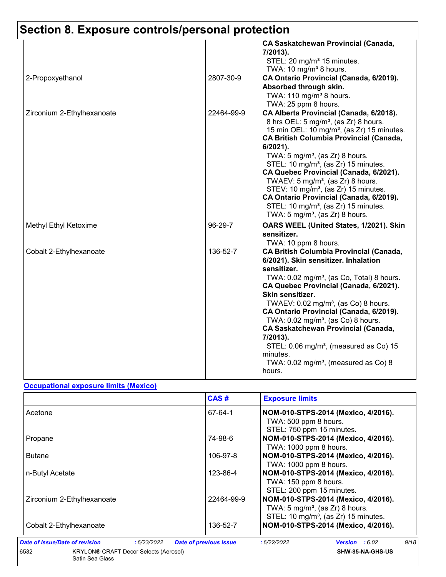# **Section 8. Exposure controls/personal protection**

|                            |            | <b>CA Saskatchewan Provincial (Canada,</b><br>7/2013).<br>STEL: 20 mg/m <sup>3</sup> 15 minutes.<br>TWA: 10 mg/m <sup>3</sup> 8 hours.                                                                                                                                                                                                                                                                                                                                                                                                                                                                            |
|----------------------------|------------|-------------------------------------------------------------------------------------------------------------------------------------------------------------------------------------------------------------------------------------------------------------------------------------------------------------------------------------------------------------------------------------------------------------------------------------------------------------------------------------------------------------------------------------------------------------------------------------------------------------------|
| 2-Propoxyethanol           | 2807-30-9  | CA Ontario Provincial (Canada, 6/2019).<br>Absorbed through skin.<br>TWA: 110 mg/m <sup>3</sup> 8 hours.<br>TWA: 25 ppm 8 hours.                                                                                                                                                                                                                                                                                                                                                                                                                                                                                  |
| Zirconium 2-Ethylhexanoate | 22464-99-9 | CA Alberta Provincial (Canada, 6/2018).<br>8 hrs OEL: 5 mg/m <sup>3</sup> , (as Zr) 8 hours.<br>15 min OEL: 10 mg/m <sup>3</sup> , (as Zr) 15 minutes.<br><b>CA British Columbia Provincial (Canada,</b><br>6/2021).<br>TWA: $5 \text{ mg/m}^3$ , (as Zr) 8 hours.<br>STEL: 10 mg/m <sup>3</sup> , (as Zr) 15 minutes.<br>CA Quebec Provincial (Canada, 6/2021).<br>TWAEV: $5 \text{ mg/m}^3$ , (as Zr) 8 hours.<br>STEV: 10 mg/m <sup>3</sup> , (as Zr) 15 minutes.<br>CA Ontario Provincial (Canada, 6/2019).<br>STEL: 10 mg/m <sup>3</sup> , (as Zr) 15 minutes.<br>TWA: $5 \text{ mg/m}^3$ , (as Zr) 8 hours. |
| Methyl Ethyl Ketoxime      | 96-29-7    | OARS WEEL (United States, 1/2021). Skin<br>sensitizer.<br>TWA: 10 ppm 8 hours.                                                                                                                                                                                                                                                                                                                                                                                                                                                                                                                                    |
| Cobalt 2-Ethylhexanoate    | 136-52-7   | <b>CA British Columbia Provincial (Canada,</b><br>6/2021). Skin sensitizer. Inhalation<br>sensitizer.<br>TWA: 0.02 mg/m <sup>3</sup> , (as Co, Total) 8 hours.<br>CA Quebec Provincial (Canada, 6/2021).<br>Skin sensitizer.<br>TWAEV: $0.02$ mg/m <sup>3</sup> , (as Co) 8 hours.<br>CA Ontario Provincial (Canada, 6/2019).<br>TWA: 0.02 mg/m <sup>3</sup> , (as Co) 8 hours.<br><b>CA Saskatchewan Provincial (Canada,</b><br>7/2013).<br>STEL: 0.06 mg/m <sup>3</sup> , (measured as Co) 15<br>minutes.<br>TWA: $0.02$ mg/m <sup>3</sup> , (measured as Co) 8<br>hours.                                       |

#### **Occupational exposure limits (Mexico)**

|                                                                                            | CAS#<br><b>Exposure limits</b> |                                                                                                                                       |  |  |
|--------------------------------------------------------------------------------------------|--------------------------------|---------------------------------------------------------------------------------------------------------------------------------------|--|--|
| Acetone                                                                                    | 67-64-1                        | NOM-010-STPS-2014 (Mexico, 4/2016).<br>TWA: 500 ppm 8 hours.<br>STEL: 750 ppm 15 minutes.                                             |  |  |
| Propane                                                                                    | 74-98-6                        | NOM-010-STPS-2014 (Mexico, 4/2016).<br>TWA: 1000 ppm 8 hours.                                                                         |  |  |
| 106-97-8<br>NOM-010-STPS-2014 (Mexico, 4/2016).<br><b>Butane</b><br>TWA: 1000 ppm 8 hours. |                                |                                                                                                                                       |  |  |
| n-Butyl Acetate                                                                            | 123-86-4                       | NOM-010-STPS-2014 (Mexico, 4/2016).<br>TWA: 150 ppm 8 hours.<br>STEL: 200 ppm 15 minutes.                                             |  |  |
| Zirconium 2-Ethylhexanoate                                                                 | 22464-99-9                     | NOM-010-STPS-2014 (Mexico, 4/2016).<br>TWA: $5 \text{ mg/m}^3$ , (as Zr) 8 hours.<br>STEL: 10 mg/m <sup>3</sup> , (as Zr) 15 minutes. |  |  |
| Cobalt 2-Ethylhexanoate                                                                    | 136-52-7                       | NOM-010-STPS-2014 (Mexico, 4/2016).                                                                                                   |  |  |
| Date of issue/Date of revision<br>: 6/23/2022                                              | <b>Date of previous issue</b>  | 9/18<br>Version : 6.02<br>:6/22/2022                                                                                                  |  |  |
| 6532<br><b>KRYLON® CRAFT Decor Selects (Aerosol)</b><br>Satin Sea Glass                    |                                | SHW-85-NA-GHS-US                                                                                                                      |  |  |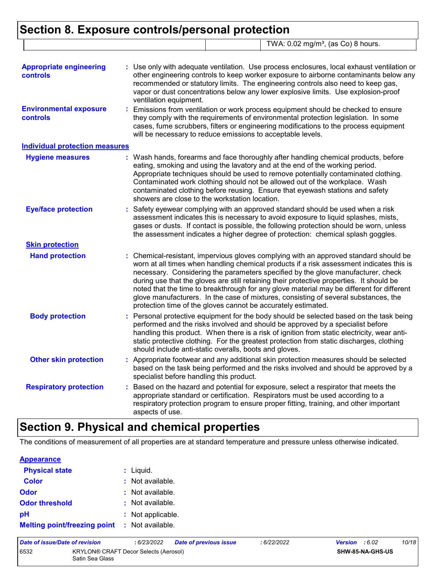# **Section 8. Exposure controls/personal protection** TWA: 0.02 mg/m<sup>3</sup>, (as Co) 8 hours.

| <b>Appropriate engineering</b>                   | : Use only with adequate ventilation. Use process enclosures, local exhaust ventilation or                                                                                                                                                                                                                                                                                                                                                                                                                                                                                                                             |  |
|--------------------------------------------------|------------------------------------------------------------------------------------------------------------------------------------------------------------------------------------------------------------------------------------------------------------------------------------------------------------------------------------------------------------------------------------------------------------------------------------------------------------------------------------------------------------------------------------------------------------------------------------------------------------------------|--|
| <b>controls</b>                                  | other engineering controls to keep worker exposure to airborne contaminants below any<br>recommended or statutory limits. The engineering controls also need to keep gas,<br>vapor or dust concentrations below any lower explosive limits. Use explosion-proof<br>ventilation equipment.                                                                                                                                                                                                                                                                                                                              |  |
| <b>Environmental exposure</b><br><b>controls</b> | : Emissions from ventilation or work process equipment should be checked to ensure<br>they comply with the requirements of environmental protection legislation. In some<br>cases, fume scrubbers, filters or engineering modifications to the process equipment<br>will be necessary to reduce emissions to acceptable levels.                                                                                                                                                                                                                                                                                        |  |
| <b>Individual protection measures</b>            |                                                                                                                                                                                                                                                                                                                                                                                                                                                                                                                                                                                                                        |  |
| <b>Hygiene measures</b>                          | : Wash hands, forearms and face thoroughly after handling chemical products, before<br>eating, smoking and using the lavatory and at the end of the working period.<br>Appropriate techniques should be used to remove potentially contaminated clothing.<br>Contaminated work clothing should not be allowed out of the workplace. Wash<br>contaminated clothing before reusing. Ensure that eyewash stations and safety<br>showers are close to the workstation location.                                                                                                                                            |  |
| <b>Eye/face protection</b>                       | Safety eyewear complying with an approved standard should be used when a risk<br>assessment indicates this is necessary to avoid exposure to liquid splashes, mists,<br>gases or dusts. If contact is possible, the following protection should be worn, unless<br>the assessment indicates a higher degree of protection: chemical splash goggles.                                                                                                                                                                                                                                                                    |  |
| <b>Skin protection</b>                           |                                                                                                                                                                                                                                                                                                                                                                                                                                                                                                                                                                                                                        |  |
| <b>Hand protection</b>                           | : Chemical-resistant, impervious gloves complying with an approved standard should be<br>worn at all times when handling chemical products if a risk assessment indicates this is<br>necessary. Considering the parameters specified by the glove manufacturer, check<br>during use that the gloves are still retaining their protective properties. It should be<br>noted that the time to breakthrough for any glove material may be different for different<br>glove manufacturers. In the case of mixtures, consisting of several substances, the<br>protection time of the gloves cannot be accurately estimated. |  |
| <b>Body protection</b>                           | : Personal protective equipment for the body should be selected based on the task being<br>performed and the risks involved and should be approved by a specialist before<br>handling this product. When there is a risk of ignition from static electricity, wear anti-<br>static protective clothing. For the greatest protection from static discharges, clothing<br>should include anti-static overalls, boots and gloves.                                                                                                                                                                                         |  |
| <b>Other skin protection</b>                     | : Appropriate footwear and any additional skin protection measures should be selected<br>based on the task being performed and the risks involved and should be approved by a<br>specialist before handling this product.                                                                                                                                                                                                                                                                                                                                                                                              |  |
| <b>Respiratory protection</b>                    | Based on the hazard and potential for exposure, select a respirator that meets the<br>appropriate standard or certification. Respirators must be used according to a<br>respiratory protection program to ensure proper fitting, training, and other important<br>aspects of use.                                                                                                                                                                                                                                                                                                                                      |  |

# **Section 9. Physical and chemical properties**

The conditions of measurement of all properties are at standard temperature and pressure unless otherwise indicated.

| <b>Appearance</b>                   |                   |
|-------------------------------------|-------------------|
| <b>Physical state</b>               | $:$ Liquid.       |
| <b>Color</b>                        | : Not available.  |
| Odor                                | : Not available.  |
| <b>Odor threshold</b>               | : Not available.  |
| рH                                  | : Not applicable. |
| <b>Melting point/freezing point</b> | : Not available.  |

| Date of issue/Date of revision                                          |  | : 6/23/2022 | <b>Date of previous issue</b> | : 6/22/2022 | <b>Version</b> : 6.02   |  | 10/18 |
|-------------------------------------------------------------------------|--|-------------|-------------------------------|-------------|-------------------------|--|-------|
| 6532<br><b>KRYLON® CRAFT Decor Selects (Aerosol)</b><br>Satin Sea Glass |  |             |                               |             | <b>SHW-85-NA-GHS-US</b> |  |       |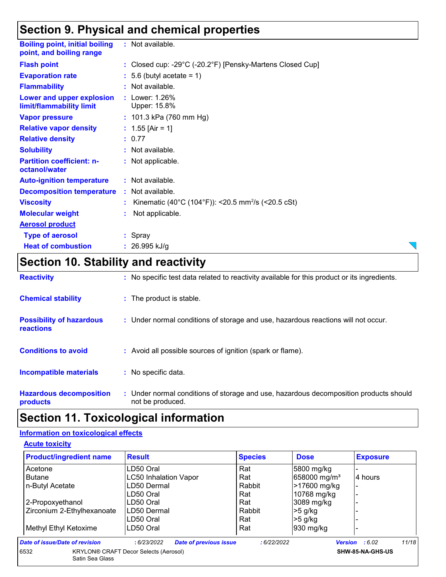# **Section 9. Physical and chemical properties**

| <b>Boiling point, initial boiling</b><br>point, and boiling range | : Not available.                                               |
|-------------------------------------------------------------------|----------------------------------------------------------------|
| <b>Flash point</b>                                                | : Closed cup: -29°C (-20.2°F) [Pensky-Martens Closed Cup]      |
| <b>Evaporation rate</b>                                           | $\therefore$ 5.6 (butyl acetate = 1)                           |
| <b>Flammability</b>                                               | : Not available.                                               |
| Lower and upper explosion<br>limit/flammability limit             | : Lower: $1.26%$<br>Upper: 15.8%                               |
| <b>Vapor pressure</b>                                             | : $101.3$ kPa (760 mm Hg)                                      |
| <b>Relative vapor density</b>                                     | : $1.55$ [Air = 1]                                             |
| <b>Relative density</b>                                           | : 0.77                                                         |
| <b>Solubility</b>                                                 | : Not available.                                               |
| <b>Partition coefficient: n-</b><br>octanol/water                 | : Not applicable.                                              |
| <b>Auto-ignition temperature</b>                                  | : Not available.                                               |
| <b>Decomposition temperature</b>                                  | : Not available.                                               |
| <b>Viscosity</b>                                                  | Kinematic (40°C (104°F)): <20.5 mm <sup>2</sup> /s (<20.5 cSt) |
| <b>Molecular weight</b>                                           | Not applicable.                                                |
| <b>Aerosol product</b>                                            |                                                                |
| <b>Type of aerosol</b>                                            | : Spray                                                        |
| <b>Heat of combustion</b>                                         | : $26.995$ kJ/g                                                |

# **Section 10. Stability and reactivity**

| <b>Reactivity</b>                                   | : No specific test data related to reactivity available for this product or its ingredients.              |
|-----------------------------------------------------|-----------------------------------------------------------------------------------------------------------|
| <b>Chemical stability</b>                           | : The product is stable.                                                                                  |
| <b>Possibility of hazardous</b><br><b>reactions</b> | : Under normal conditions of storage and use, hazardous reactions will not occur.                         |
| <b>Conditions to avoid</b>                          | : Avoid all possible sources of ignition (spark or flame).                                                |
| <b>Incompatible materials</b>                       | : No specific data.                                                                                       |
| <b>Hazardous decomposition</b><br>products          | : Under normal conditions of storage and use, hazardous decomposition products should<br>not be produced. |

# **Section 11. Toxicological information**

### **Information on toxicological effects**

**Acute toxicity**

| <b>Product/ingredient name</b> | <b>Result</b>                                | <b>Species</b> | <b>Dose</b>              | <b>Exposure</b>                  |
|--------------------------------|----------------------------------------------|----------------|--------------------------|----------------------------------|
| Acetone                        | LD50 Oral                                    | Rat            | 5800 mg/kg               |                                  |
| <b>Butane</b>                  | <b>LC50 Inhalation Vapor</b>                 | Rat            | 658000 mg/m <sup>3</sup> | 4 hours                          |
| n-Butyl Acetate                | LD50 Dermal                                  | Rabbit         | >17600 mg/kg             | $\blacksquare$                   |
|                                | LD50 Oral                                    | Rat            | 10768 mg/kg              |                                  |
| 2-Propoxyethanol               | LD50 Oral                                    | Rat            | 3089 mg/kg               |                                  |
| Zirconium 2-Ethylhexanoate     | LD50 Dermal                                  | Rabbit         | $>5$ g/kg                |                                  |
|                                | LD50 Oral                                    | Rat            | $>5$ g/kg                |                                  |
| Methyl Ethyl Ketoxime          | LD50 Oral                                    | Rat            | 930 mg/kg                |                                  |
| Date of issue/Date of revision | <b>Date of previous issue</b><br>:6/23/2022  | :6/22/2022     |                          | 11/18<br><b>Version</b> : $6.02$ |
| 6532<br>Satin Sea Glass        | <b>KRYLON® CRAFT Decor Selects (Aerosol)</b> |                |                          | SHW-85-NA-GHS-US                 |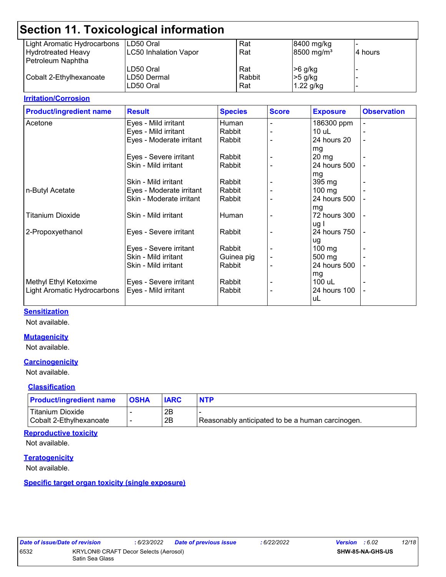| Section 11. Toxicological information |                              |        |                        |          |  |  |  |  |
|---------------------------------------|------------------------------|--------|------------------------|----------|--|--|--|--|
| Light Aromatic Hydrocarbons           | LD50 Oral                    | Rat    | 8400 mg/kg             |          |  |  |  |  |
| <b>Hydrotreated Heavy</b>             | <b>LC50 Inhalation Vapor</b> | Rat    | 8500 mg/m <sup>3</sup> | l4 hours |  |  |  |  |
| Petroleum Naphtha                     |                              |        |                        |          |  |  |  |  |
|                                       | LD50 Oral                    | Rat    | >6 g/kg                |          |  |  |  |  |
| Cobalt 2-Ethylhexanoate               | ILD50 Dermal                 | Rabbit | $>5$ g/kg              |          |  |  |  |  |
|                                       | LD50 Oral                    | Rat    | $1.22$ g/kg            |          |  |  |  |  |
|                                       |                              |        |                        |          |  |  |  |  |

#### **Irritation/Corrosion**

| <b>Product/ingredient name</b> | <b>Result</b>            | <b>Species</b> | <b>Score</b> | <b>Exposure</b>  | <b>Observation</b> |
|--------------------------------|--------------------------|----------------|--------------|------------------|--------------------|
| Acetone                        | Eyes - Mild irritant     | Human          |              | 186300 ppm       |                    |
|                                | Eyes - Mild irritant     | Rabbit         |              | $10$ uL          |                    |
|                                | Eyes - Moderate irritant | Rabbit         |              | 24 hours 20      |                    |
|                                |                          |                |              | mg               |                    |
|                                | Eyes - Severe irritant   | Rabbit         |              | $20 \, mg$       |                    |
|                                | Skin - Mild irritant     | Rabbit         |              | 24 hours 500     |                    |
|                                |                          |                |              | mg               |                    |
|                                | Skin - Mild irritant     | Rabbit         |              | 395 mg           |                    |
| n-Butyl Acetate                | Eyes - Moderate irritant | Rabbit         |              | $100 \text{ mg}$ |                    |
|                                | Skin - Moderate irritant | Rabbit         |              | 24 hours 500     |                    |
|                                |                          |                |              | mg               |                    |
| <b>Titanium Dioxide</b>        | Skin - Mild irritant     | Human          |              | 72 hours 300     |                    |
|                                |                          |                |              | ug I             |                    |
| 2-Propoxyethanol               | Eyes - Severe irritant   | Rabbit         |              | 24 hours 750     |                    |
|                                |                          |                |              | ug               |                    |
|                                | Eyes - Severe irritant   | Rabbit         |              | $100 \text{ mg}$ |                    |
|                                | Skin - Mild irritant     | Guinea pig     |              | 500 mg           |                    |
|                                | Skin - Mild irritant     | Rabbit         |              | 24 hours 500     |                    |
|                                |                          |                |              | mg               |                    |
| Methyl Ethyl Ketoxime          | Eyes - Severe irritant   | Rabbit         |              | 100 uL           |                    |
| Light Aromatic Hydrocarbons    | Eyes - Mild irritant     | Rabbit         |              | 24 hours 100     |                    |
|                                |                          |                |              | uL               |                    |
|                                |                          |                |              |                  |                    |

#### **Sensitization**

Not available.

#### **Mutagenicity**

Not available.

#### **Carcinogenicity**

Not available.

#### **Classification**

| <b>Product/ingredient name</b>                     | <b>OSHA</b>              | <b>IARC</b> | <b>NTP</b>                                       |
|----------------------------------------------------|--------------------------|-------------|--------------------------------------------------|
| <b>Titanium Dioxide</b><br>Cobalt 2-Ethylhexanoate | $\overline{\phantom{0}}$ | 2Β<br>2B    | Reasonably anticipated to be a human carcinogen. |

#### **Reproductive toxicity**

Not available.

#### **Teratogenicity**

Not available.

#### **Specific target organ toxicity (single exposure)**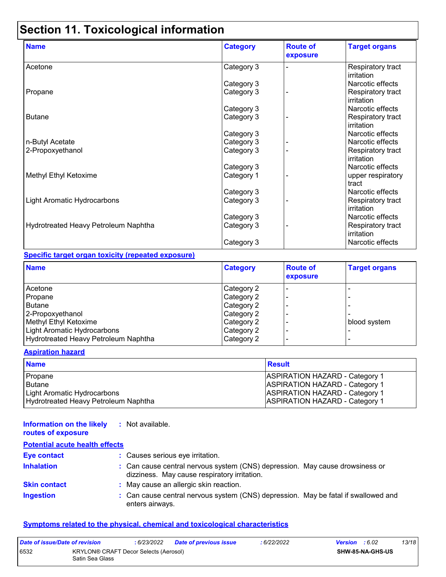# **Section 11. Toxicological information**

| <b>Name</b>                          | <b>Category</b> | <b>Route of</b><br>exposure | <b>Target organs</b>            |
|--------------------------------------|-----------------|-----------------------------|---------------------------------|
| Acetone                              | Category 3      |                             | Respiratory tract<br>irritation |
|                                      | Category 3      |                             | Narcotic effects                |
| Propane                              | Category 3      |                             | Respiratory tract<br>irritation |
|                                      | Category 3      |                             | Narcotic effects                |
| <b>Butane</b>                        | Category 3      |                             | Respiratory tract<br>irritation |
|                                      | Category 3      |                             | Narcotic effects                |
| n-Butyl Acetate                      | Category 3      |                             | Narcotic effects                |
| 2-Propoxyethanol                     | Category 3      |                             | Respiratory tract<br>irritation |
|                                      | Category 3      |                             | Narcotic effects                |
| Methyl Ethyl Ketoxime                | Category 1      |                             | upper respiratory<br>tract      |
|                                      | Category 3      |                             | Narcotic effects                |
| Light Aromatic Hydrocarbons          | Category 3      |                             | Respiratory tract<br>irritation |
|                                      | Category 3      |                             | Narcotic effects                |
| Hydrotreated Heavy Petroleum Naphtha | Category 3      |                             | Respiratory tract<br>irritation |
|                                      | Category 3      |                             | Narcotic effects                |

#### **Specific target organ toxicity (repeated exposure)**

| <b>Name</b>                          | <b>Category</b> | <b>Route of</b><br>exposure | <b>Target organs</b> |
|--------------------------------------|-----------------|-----------------------------|----------------------|
| Acetone                              | Category 2      |                             |                      |
| Propane                              | Category 2      |                             |                      |
| <b>Butane</b>                        | Category 2      |                             |                      |
| 2-Propoxyethanol                     | Category 2      |                             |                      |
| Methyl Ethyl Ketoxime                | Category 2      |                             | blood system         |
| Light Aromatic Hydrocarbons          | Category 2      |                             |                      |
| Hydrotreated Heavy Petroleum Naphtha | Category 2      |                             |                      |

#### **Aspiration hazard**

| <b>Name</b>                          | <b>Result</b>                         |
|--------------------------------------|---------------------------------------|
| Propane                              | <b>ASPIRATION HAZARD - Category 1</b> |
| l Butane                             | <b>ASPIRATION HAZARD - Category 1</b> |
| Light Aromatic Hydrocarbons          | <b>ASPIRATION HAZARD - Category 1</b> |
| Hydrotreated Heavy Petroleum Naphtha | <b>ASPIRATION HAZARD - Category 1</b> |

#### **Information on the likely routes of exposure :** Not available.

| <b>Potential acute health effects</b> |                                                                                                                              |
|---------------------------------------|------------------------------------------------------------------------------------------------------------------------------|
| <b>Eye contact</b>                    | : Causes serious eye irritation.                                                                                             |
| <b>Inhalation</b>                     | : Can cause central nervous system (CNS) depression. May cause drowsiness or<br>dizziness. May cause respiratory irritation. |
| <b>Skin contact</b>                   | : May cause an allergic skin reaction.                                                                                       |
| <b>Ingestion</b>                      | : Can cause central nervous system (CNS) depression. May be fatal if swallowed and<br>enters airways.                        |

#### **Symptoms related to the physical, chemical and toxicological characteristics**

| Date of issue/Date of revision |                                                          | : 6/23/2022 | <b>Date of previous issue</b> | : 6/22/2022 | <b>Version</b> : 6.02 |                         | 13/18 |
|--------------------------------|----------------------------------------------------------|-------------|-------------------------------|-------------|-----------------------|-------------------------|-------|
| 6532                           | KRYLON® CRAFT Decor Selects (Aerosol)<br>Satin Sea Glass |             |                               |             |                       | <b>SHW-85-NA-GHS-US</b> |       |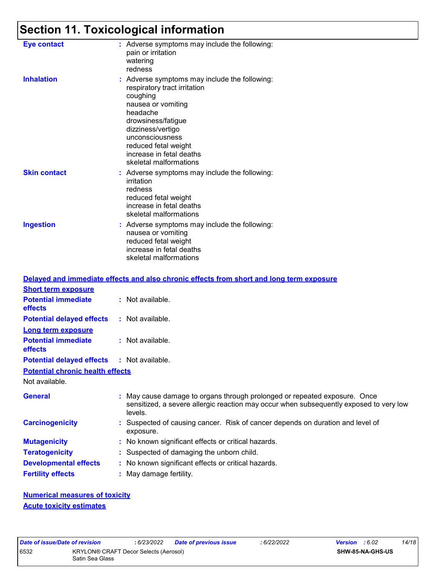# **Section 11. Toxicological information**

| <b>Eye contact</b>  | : Adverse symptoms may include the following:<br>pain or irritation<br>watering<br>redness                                                                                                                                                                              |
|---------------------|-------------------------------------------------------------------------------------------------------------------------------------------------------------------------------------------------------------------------------------------------------------------------|
| <b>Inhalation</b>   | : Adverse symptoms may include the following:<br>respiratory tract irritation<br>coughing<br>nausea or vomiting<br>headache<br>drowsiness/fatigue<br>dizziness/vertigo<br>unconsciousness<br>reduced fetal weight<br>increase in fetal deaths<br>skeletal malformations |
| <b>Skin contact</b> | : Adverse symptoms may include the following:<br>irritation<br>redness<br>reduced fetal weight<br>increase in fetal deaths<br>skeletal malformations                                                                                                                    |
| <b>Ingestion</b>    | : Adverse symptoms may include the following:<br>nausea or vomiting<br>reduced fetal weight<br>increase in fetal deaths<br>skeletal malformations                                                                                                                       |

|                                                   | Delayed and immediate effects and also chronic effects from short and long term exposure                                                                                       |
|---------------------------------------------------|--------------------------------------------------------------------------------------------------------------------------------------------------------------------------------|
| <b>Short term exposure</b>                        |                                                                                                                                                                                |
| <b>Potential immediate</b><br>effects             | $:$ Not available.                                                                                                                                                             |
| <b>Potential delayed effects</b>                  | : Not available.                                                                                                                                                               |
| <b>Long term exposure</b>                         |                                                                                                                                                                                |
| <b>Potential immediate</b><br><b>effects</b>      | $:$ Not available.                                                                                                                                                             |
| <b>Potential delayed effects : Not available.</b> |                                                                                                                                                                                |
| <b>Potential chronic health effects</b>           |                                                                                                                                                                                |
| Not available.                                    |                                                                                                                                                                                |
| <b>General</b>                                    | : May cause damage to organs through prolonged or repeated exposure. Once<br>sensitized, a severe allergic reaction may occur when subsequently exposed to very low<br>levels. |
| <b>Carcinogenicity</b>                            | : Suspected of causing cancer. Risk of cancer depends on duration and level of<br>exposure.                                                                                    |
| <b>Mutagenicity</b>                               | : No known significant effects or critical hazards.                                                                                                                            |
| <b>Teratogenicity</b>                             | : Suspected of damaging the unborn child.                                                                                                                                      |
| <b>Developmental effects</b>                      | : No known significant effects or critical hazards.                                                                                                                            |
| <b>Fertility effects</b>                          | : May damage fertility.                                                                                                                                                        |

**Numerical measures of toxicity Acute toxicity estimates**

| ate of Issue/Date of I |    |
|------------------------|----|
| i32                    | ΚF |
|                        | ິ  |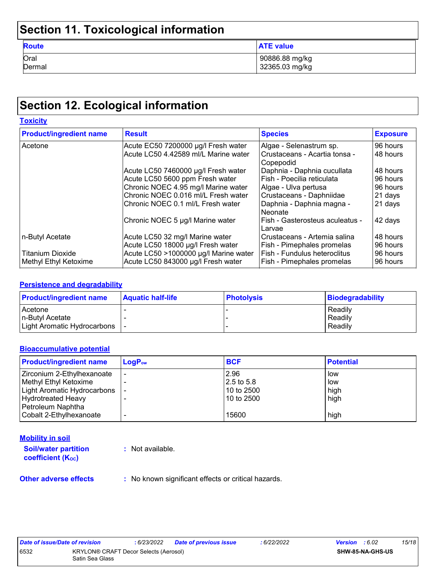# **Section 11. Toxicological information**

| <b>Route</b> | <b>ATE value</b> |
|--------------|------------------|
| Oral         | 90886.88 mg/kg   |
| Dermal       | 32365.03 mg/kg   |

# **Section 12. Ecological information**

| <b>Toxicity</b>                |                                       |                                                |                 |  |
|--------------------------------|---------------------------------------|------------------------------------------------|-----------------|--|
| <b>Product/ingredient name</b> | <b>Result</b>                         | <b>Species</b>                                 | <b>Exposure</b> |  |
| Acetone                        | Acute EC50 7200000 µg/l Fresh water   | Algae - Selenastrum sp.                        | 96 hours        |  |
|                                | Acute LC50 4.42589 ml/L Marine water  | l Crustaceans - Acartia tonsa -<br>l Copepodid | 48 hours        |  |
|                                | Acute LC50 7460000 µg/l Fresh water   | Daphnia - Daphnia cucullata                    | 48 hours        |  |
|                                | Acute LC50 5600 ppm Fresh water       | Fish - Poecilia reticulata                     | 96 hours        |  |
|                                | Chronic NOEC 4.95 mg/l Marine water   | Algae - Ulva pertusa                           | 96 hours        |  |
|                                | Chronic NOEC 0.016 ml/L Fresh water   | Crustaceans - Daphniidae                       | 21 days         |  |
|                                | Chronic NOEC 0.1 ml/L Fresh water     | Daphnia - Daphnia magna -<br>l Neonate         | 21 days         |  |
|                                | Chronic NOEC 5 µg/l Marine water      | Fish - Gasterosteus aculeatus -<br>Larvae      | 42 days         |  |
| n-Butyl Acetate                | Acute LC50 32 mg/l Marine water       | Crustaceans - Artemia salina                   | 48 hours        |  |
|                                | Acute LC50 18000 µg/l Fresh water     | Fish - Pimephales promelas                     | 96 hours        |  |
| <b>Titanium Dioxide</b>        | Acute LC50 >1000000 µg/l Marine water | Fish - Fundulus heteroclitus                   | 96 hours        |  |
| Methyl Ethyl Ketoxime          | Acute LC50 843000 µg/l Fresh water    | Fish - Pimephales promelas                     | 96 hours        |  |

#### **Persistence and degradability**

| <b>Product/ingredient name</b> | <b>Aquatic half-life</b> | <b>Photolysis</b> | <b>Biodegradability</b> |
|--------------------------------|--------------------------|-------------------|-------------------------|
| Acetone                        |                          |                   | Readily                 |
| In-Butyl Acetate               |                          |                   | Readily                 |
| Light Aromatic Hydrocarbons    |                          |                   | Readily                 |

#### **Bioaccumulative potential**

| <b>Product/ingredient name</b> | $LogP_{ow}$ | <b>BCF</b>   | <b>Potential</b> |
|--------------------------------|-------------|--------------|------------------|
| Zirconium 2-Ethylhexanoate     |             | 2.96         | low              |
| Methyl Ethyl Ketoxime          |             | $2.5$ to 5.8 | low              |
| Light Aromatic Hydrocarbons    |             | 10 to 2500   | high             |
| <b>Hydrotreated Heavy</b>      |             | 10 to 2500   | high             |
| Petroleum Naphtha              |             |              |                  |
| Cobalt 2-Ethylhexanoate        |             | 15600        | high             |

#### **Mobility in soil**

**Soil/water partition coefficient (KOC) :** Not available.

**Other adverse effects** : No known significant effects or critical hazards.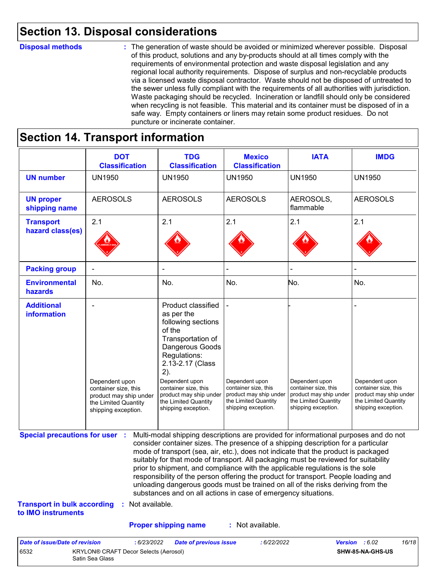# **Section 13. Disposal considerations**

#### **Disposal methods :**

The generation of waste should be avoided or minimized wherever possible. Disposal of this product, solutions and any by-products should at all times comply with the requirements of environmental protection and waste disposal legislation and any regional local authority requirements. Dispose of surplus and non-recyclable products via a licensed waste disposal contractor. Waste should not be disposed of untreated to the sewer unless fully compliant with the requirements of all authorities with jurisdiction. Waste packaging should be recycled. Incineration or landfill should only be considered when recycling is not feasible. This material and its container must be disposed of in a safe way. Empty containers or liners may retain some product residues. Do not puncture or incinerate container.

# **Section 14. Transport information**

6532 KRYLON® CRAFT Decor Selects (Aerosol) Satin Sea Glass

|                                                                             | <b>DOT</b><br><b>Classification</b>                                                                             | <b>TDG</b><br><b>Classification</b>                                                                                                                                                                                                                                                                                                                                                                                                                                                                                                                                                                                                                                                 | <b>Mexico</b><br><b>Classification</b>                                                                          | <b>IATA</b>                                                                                                     | <b>IMDG</b>                                                                                                     |
|-----------------------------------------------------------------------------|-----------------------------------------------------------------------------------------------------------------|-------------------------------------------------------------------------------------------------------------------------------------------------------------------------------------------------------------------------------------------------------------------------------------------------------------------------------------------------------------------------------------------------------------------------------------------------------------------------------------------------------------------------------------------------------------------------------------------------------------------------------------------------------------------------------------|-----------------------------------------------------------------------------------------------------------------|-----------------------------------------------------------------------------------------------------------------|-----------------------------------------------------------------------------------------------------------------|
| <b>UN number</b>                                                            | <b>UN1950</b>                                                                                                   | <b>UN1950</b>                                                                                                                                                                                                                                                                                                                                                                                                                                                                                                                                                                                                                                                                       | <b>UN1950</b>                                                                                                   | <b>UN1950</b>                                                                                                   | <b>UN1950</b>                                                                                                   |
| <b>UN proper</b><br>shipping name                                           | <b>AEROSOLS</b>                                                                                                 | <b>AEROSOLS</b>                                                                                                                                                                                                                                                                                                                                                                                                                                                                                                                                                                                                                                                                     | <b>AEROSOLS</b>                                                                                                 | AEROSOLS,<br>flammable                                                                                          | <b>AEROSOLS</b>                                                                                                 |
| <b>Transport</b><br>hazard class(es)                                        | 2.1                                                                                                             | 2.1                                                                                                                                                                                                                                                                                                                                                                                                                                                                                                                                                                                                                                                                                 | 2.1                                                                                                             | 2.1                                                                                                             | 2.1                                                                                                             |
| <b>Packing group</b>                                                        |                                                                                                                 |                                                                                                                                                                                                                                                                                                                                                                                                                                                                                                                                                                                                                                                                                     |                                                                                                                 |                                                                                                                 |                                                                                                                 |
| <b>Environmental</b><br>hazards                                             | No.                                                                                                             | No.                                                                                                                                                                                                                                                                                                                                                                                                                                                                                                                                                                                                                                                                                 | No.                                                                                                             | No.                                                                                                             | No.                                                                                                             |
| <b>Additional</b><br>information                                            | Dependent upon<br>container size, this<br>product may ship under<br>the Limited Quantity<br>shipping exception. | Product classified<br>as per the<br>following sections<br>of the<br>Transportation of<br>Dangerous Goods<br>Regulations:<br>2.13-2.17 (Class<br>2).<br>Dependent upon<br>container size, this<br>product may ship under<br>the Limited Quantity<br>shipping exception.                                                                                                                                                                                                                                                                                                                                                                                                              | Dependent upon<br>container size, this<br>product may ship under<br>the Limited Quantity<br>shipping exception. | Dependent upon<br>container size, this<br>product may ship under<br>the Limited Quantity<br>shipping exception. | Dependent upon<br>container size, this<br>product may ship under<br>the Limited Quantity<br>shipping exception. |
| <b>Special precautions for user :</b><br><b>Transport in bulk according</b> | : Not available.                                                                                                | Multi-modal shipping descriptions are provided for informational purposes and do not<br>consider container sizes. The presence of a shipping description for a particular<br>mode of transport (sea, air, etc.), does not indicate that the product is packaged<br>suitably for that mode of transport. All packaging must be reviewed for suitability<br>prior to shipment, and compliance with the applicable regulations is the sole<br>responsibility of the person offering the product for transport. People loading and<br>unloading dangerous goods must be trained on all of the risks deriving from the<br>substances and on all actions in case of emergency situations. |                                                                                                                 |                                                                                                                 |                                                                                                                 |
| to IMO instruments                                                          |                                                                                                                 |                                                                                                                                                                                                                                                                                                                                                                                                                                                                                                                                                                                                                                                                                     |                                                                                                                 |                                                                                                                 |                                                                                                                 |
|                                                                             |                                                                                                                 | <b>Proper shipping name</b>                                                                                                                                                                                                                                                                                                                                                                                                                                                                                                                                                                                                                                                         | : Not available.                                                                                                |                                                                                                                 |                                                                                                                 |

**SHW-85-NA-GHS-US**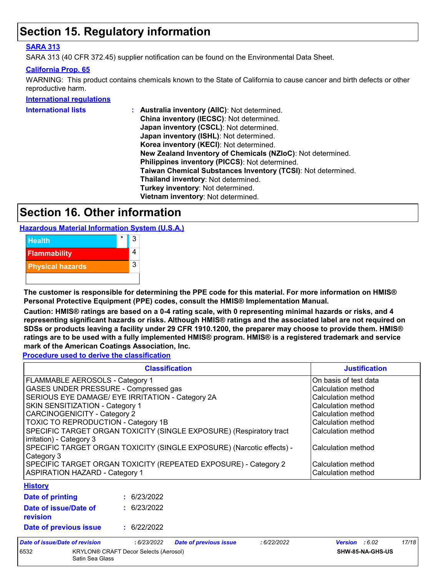# **Section 15. Regulatory information**

#### **SARA 313**

SARA 313 (40 CFR 372.45) supplier notification can be found on the Environmental Data Sheet.

#### **California Prop. 65**

WARNING: This product contains chemicals known to the State of California to cause cancer and birth defects or other reproductive harm.

#### **International regulations**

| <b>International lists</b> | Australia inventory (AllC): Not determined.                  |
|----------------------------|--------------------------------------------------------------|
|                            | China inventory (IECSC): Not determined.                     |
|                            | Japan inventory (CSCL): Not determined.                      |
|                            | Japan inventory (ISHL): Not determined.                      |
|                            | Korea inventory (KECI): Not determined.                      |
|                            | New Zealand Inventory of Chemicals (NZIoC): Not determined.  |
|                            | Philippines inventory (PICCS): Not determined.               |
|                            | Taiwan Chemical Substances Inventory (TCSI): Not determined. |
|                            | Thailand inventory: Not determined.                          |
|                            | Turkey inventory: Not determined.                            |
|                            | Vietnam inventory: Not determined.                           |
|                            |                                                              |

# **Section 16. Other information**

**Hazardous Material Information System (U.S.A.)**



**The customer is responsible for determining the PPE code for this material. For more information on HMIS® Personal Protective Equipment (PPE) codes, consult the HMIS® Implementation Manual.**

**Caution: HMIS® ratings are based on a 0-4 rating scale, with 0 representing minimal hazards or risks, and 4 representing significant hazards or risks. Although HMIS® ratings and the associated label are not required on SDSs or products leaving a facility under 29 CFR 1910.1200, the preparer may choose to provide them. HMIS® ratings are to be used with a fully implemented HMIS® program. HMIS® is a registered trademark and service mark of the American Coatings Association, Inc.**

**Procedure used to derive the classification**

|                                                                                                 | <b>Justification</b> |                               |            |                    |       |
|-------------------------------------------------------------------------------------------------|----------------------|-------------------------------|------------|--------------------|-------|
| FLAMMABLE AEROSOLS - Category 1                                                                 |                      | On basis of test data         |            |                    |       |
| GASES UNDER PRESSURE - Compressed gas                                                           |                      |                               |            | Calculation method |       |
| SERIOUS EYE DAMAGE/ EYE IRRITATION - Category 2A                                                |                      |                               |            | Calculation method |       |
| SKIN SENSITIZATION - Category 1                                                                 |                      |                               |            | Calculation method |       |
| <b>CARCINOGENICITY - Category 2</b>                                                             |                      |                               |            | Calculation method |       |
| TOXIC TO REPRODUCTION - Category 1B                                                             |                      |                               |            | Calculation method |       |
| SPECIFIC TARGET ORGAN TOXICITY (SINGLE EXPOSURE) (Respiratory tract<br>irritation) - Category 3 |                      | Calculation method            |            |                    |       |
| SPECIFIC TARGET ORGAN TOXICITY (SINGLE EXPOSURE) (Narcotic effects) -<br>Category 3             | Calculation method   |                               |            |                    |       |
| SPECIFIC TARGET ORGAN TOXICITY (REPEATED EXPOSURE) - Category 2                                 |                      | Calculation method            |            |                    |       |
| <b>ASPIRATION HAZARD - Category 1</b>                                                           |                      |                               |            | Calculation method |       |
| <b>History</b>                                                                                  |                      |                               |            |                    |       |
| <b>Date of printing</b>                                                                         | : 6/23/2022          |                               |            |                    |       |
| Date of issue/Date of<br>revision                                                               | : 6/23/2022          |                               |            |                    |       |
| Date of previous issue                                                                          | : 6/22/2022          |                               |            |                    |       |
| Date of issue/Date of revision                                                                  | :6/23/2022           | <b>Date of previous issue</b> | :6/22/2022 | Version : 6.02     | 17/18 |